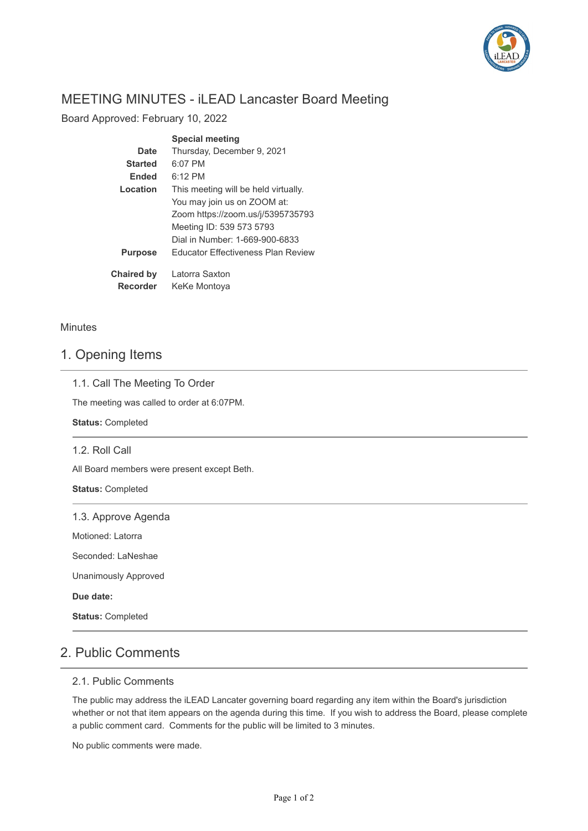

# MEETING MINUTES - iLEAD Lancaster Board Meeting

Board Approved: February 10, 2022

|                   | <b>Special meeting</b>               |  |  |  |
|-------------------|--------------------------------------|--|--|--|
| Date              | Thursday, December 9, 2021           |  |  |  |
| <b>Started</b>    | 6:07 PM                              |  |  |  |
| <b>Ended</b>      | $6:12$ PM                            |  |  |  |
| Location          | This meeting will be held virtually. |  |  |  |
|                   | You may join us on ZOOM at:          |  |  |  |
|                   | Zoom https://zoom.us/j/5395735793    |  |  |  |
|                   | Meeting ID: 539 573 5793             |  |  |  |
|                   | Dial in Number: 1-669-900-6833       |  |  |  |
| <b>Purpose</b>    | Educator Effectiveness Plan Review   |  |  |  |
| <b>Chaired by</b> | Latorra Saxton                       |  |  |  |
| <b>Recorder</b>   | KeKe Montoya                         |  |  |  |

#### **Minutes**

#### 1. Opening Items

The meeting was called to order at 6:07PM.

**Status:** Completed

#### 1.2. Roll Call

All Board members were present except Beth.

**Status:** Completed

|  |  | 1.3. Approve Agenda |
|--|--|---------------------|
|  |  |                     |

Motioned: Latorra

Seconded: LaNeshae

Unanimously Approved

**Due date:**

**Status:** Completed

### 2. Public Comments

#### 2.1. Public Comments

The public may address the iLEAD Lancater governing board regarding any item within the Board's jurisdiction whether or not that item appears on the agenda during this time. If you wish to address the Board, please complete a public comment card. Comments for the public will be limited to 3 minutes.

No public comments were made.